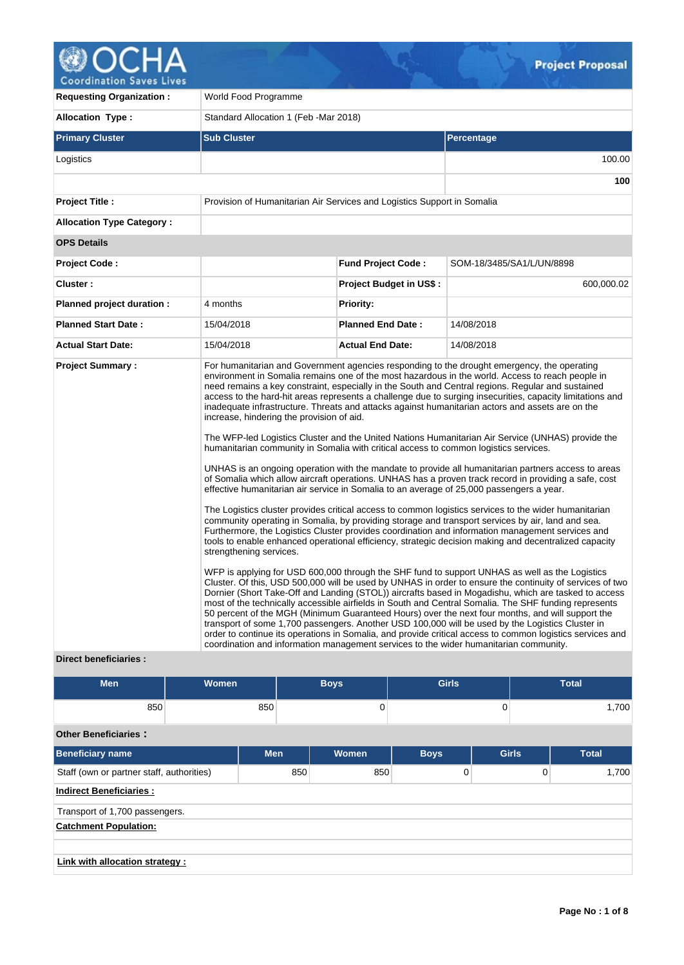

**Requesting Organization :** World Food Programme Allocation Type : <br>
Standard Allocation 1 (Feb -Mar 2018) **Primary Cluster Sub Cluster Sub Cluster** Sub Cluster Sub Cluster Sub Cluster Sub Cluster Sub Cluster Sub Cluster Logistics 100.00 **100 Project Title :** Provision of Humanitarian Air Services and Logistics Support in Somalia **Allocation Type Category : OPS Details Project Code : Fund Project Code :** SOM-18/3485/SA1/L/UN/8898 **Cluster : Project Budget in US\$ :** 600,000.02 **Planned project duration :** 4 months **Planned Priority: Planned Start Date :** 15/04/2018 **Planned End Date :** 14/08/2018 **Actual Start Date:** 15/04/2018 **Actual End Date:** 14/08/2018 **Project Summary :** For humanitarian and Government agencies responding to the drought emergency, the operating environment in Somalia remains one of the most hazardous in the world. Access to reach people in need remains a key constraint, especially in the South and Central regions. Regular and sustained access to the hard-hit areas represents a challenge due to surging insecurities, capacity limitations and inadequate infrastructure. Threats and attacks against humanitarian actors and assets are on the increase, hindering the provision of aid. The WFP-led Logistics Cluster and the United Nations Humanitarian Air Service (UNHAS) provide the humanitarian community in Somalia with critical access to common logistics services. UNHAS is an ongoing operation with the mandate to provide all humanitarian partners access to areas of Somalia which allow aircraft operations. UNHAS has a proven track record in providing a safe, cost effective humanitarian air service in Somalia to an average of 25,000 passengers a year. The Logistics cluster provides critical access to common logistics services to the wider humanitarian community operating in Somalia, by providing storage and transport services by air, land and sea. Furthermore, the Logistics Cluster provides coordination and information management services and tools to enable enhanced operational efficiency, strategic decision making and decentralized capacity strengthening services. WFP is applying for USD 600,000 through the SHF fund to support UNHAS as well as the Logistics Cluster. Of this, USD 500,000 will be used by UNHAS in order to ensure the continuity of services of two Dornier (Short Take-Off and Landing (STOL)) aircrafts based in Mogadishu, which are tasked to access most of the technically accessible airfields in South and Central Somalia. The SHF funding represents 50 percent of the MGH (Minimum Guaranteed Hours) over the next four months, and will support the transport of some 1,700 passengers. Another USD 100,000 will be used by the Logistics Cluster in order to continue its operations in Somalia, and provide critical access to common logistics services and coordination and information management services to the wider humanitarian community.

### **Direct beneficiaries :**

| <b>Men</b>                                | <b>Women</b> |            |     | <b>Boys</b> | <b>Girls</b> |              |   |              |  | <b>Total</b> |
|-------------------------------------------|--------------|------------|-----|-------------|--------------|--------------|---|--------------|--|--------------|
| 850                                       |              | 850        |     | 0           | 0            |              |   | 1,700        |  |              |
| <b>Other Beneficiaries:</b>               |              |            |     |             |              |              |   |              |  |              |
| <b>Beneficiary name</b>                   |              | <b>Men</b> |     | Women       | <b>Boys</b>  | <b>Girls</b> |   | <b>Total</b> |  |              |
| Staff (own or partner staff, authorities) |              |            | 850 | 850         | 0            |              | 0 | 1,700        |  |              |
| <b>Indirect Beneficiaries:</b>            |              |            |     |             |              |              |   |              |  |              |
| Transport of 1,700 passengers.            |              |            |     |             |              |              |   |              |  |              |
| <b>Catchment Population:</b>              |              |            |     |             |              |              |   |              |  |              |
|                                           |              |            |     |             |              |              |   |              |  |              |
| Link with allocation strategy :           |              |            |     |             |              |              |   |              |  |              |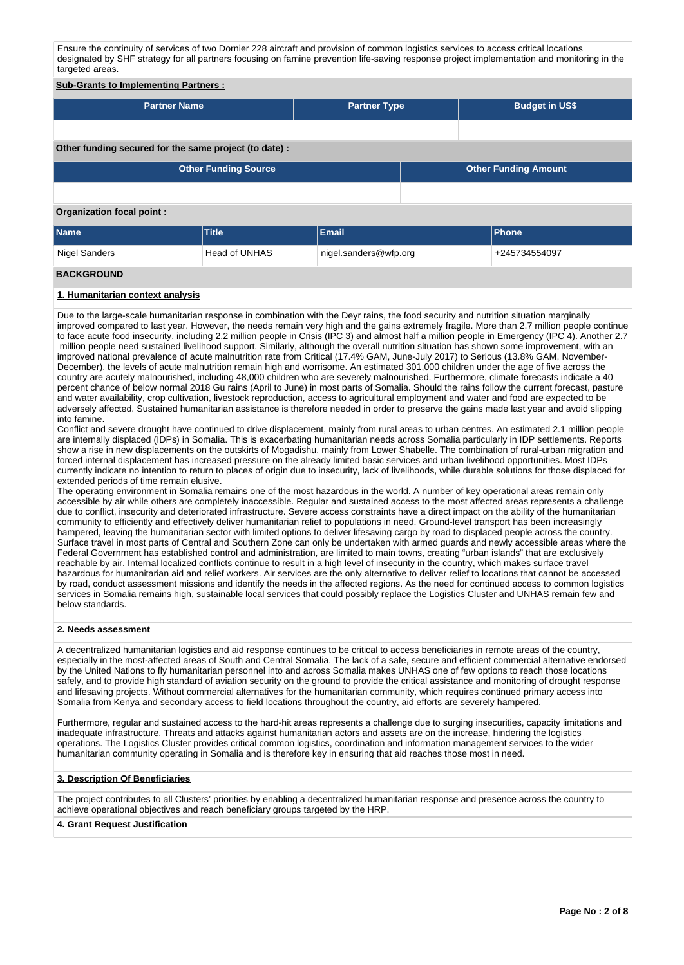Ensure the continuity of services of two Dornier 228 aircraft and provision of common logistics services to access critical locations designated by SHF strategy for all partners focusing on famine prevention life-saving response project implementation and monitoring in the targeted areas.

### **Sub-Grants to Implementing Partners :**

| <b>Partner Name</b> | <b>Partner Type</b> | <b>Budget in US\$</b> |
|---------------------|---------------------|-----------------------|
|                     |                     |                       |

### **Other funding secured for the same project (to date) :**

| <b>Other Funding Source</b> | <b>Other Funding Amount</b> |
|-----------------------------|-----------------------------|
|                             |                             |

### **Organization focal point :**

| <b>Name</b>         | <b>Title</b>  | Email                 | <b>Phone</b>  |
|---------------------|---------------|-----------------------|---------------|
| Nigel Sanders       | Head of UNHAS | nigel.sanders@wfp.org | +245734554097 |
| <b>BIAI/ABAILIR</b> |               |                       |               |

### **BACKGROUND**

### **1. Humanitarian context analysis**

Due to the large-scale humanitarian response in combination with the Deyr rains, the food security and nutrition situation marginally improved compared to last year. However, the needs remain very high and the gains extremely fragile. More than 2.7 million people continue to face acute food insecurity, including 2.2 million people in Crisis (IPC 3) and almost half a million people in Emergency (IPC 4). Another 2.7 million people need sustained livelihood support. Similarly, although the overall nutrition situation has shown some improvement, with an improved national prevalence of acute malnutrition rate from Critical (17.4% GAM, June-July 2017) to Serious (13.8% GAM, November-December), the levels of acute malnutrition remain high and worrisome. An estimated 301,000 children under the age of five across the country are acutely malnourished, including 48,000 children who are severely malnourished. Furthermore, climate forecasts indicate a 40 percent chance of below normal 2018 Gu rains (April to June) in most parts of Somalia. Should the rains follow the current forecast, pasture and water availability, crop cultivation, livestock reproduction, access to agricultural employment and water and food are expected to be adversely affected. Sustained humanitarian assistance is therefore needed in order to preserve the gains made last year and avoid slipping into famine.

Conflict and severe drought have continued to drive displacement, mainly from rural areas to urban centres. An estimated 2.1 million people are internally displaced (IDPs) in Somalia. This is exacerbating humanitarian needs across Somalia particularly in IDP settlements. Reports show a rise in new displacements on the outskirts of Mogadishu, mainly from Lower Shabelle. The combination of rural-urban migration and forced internal displacement has increased pressure on the already limited basic services and urban livelihood opportunities. Most IDPs currently indicate no intention to return to places of origin due to insecurity, lack of livelihoods, while durable solutions for those displaced for extended periods of time remain elusive.

The operating environment in Somalia remains one of the most hazardous in the world. A number of key operational areas remain only accessible by air while others are completely inaccessible. Regular and sustained access to the most affected areas represents a challenge due to conflict, insecurity and deteriorated infrastructure. Severe access constraints have a direct impact on the ability of the humanitarian community to efficiently and effectively deliver humanitarian relief to populations in need. Ground-level transport has been increasingly hampered, leaving the humanitarian sector with limited options to deliver lifesaving cargo by road to displaced people across the country. Surface travel in most parts of Central and Southern Zone can only be undertaken with armed guards and newly accessible areas where the Federal Government has established control and administration, are limited to main towns, creating "urban islands" that are exclusively reachable by air. Internal localized conflicts continue to result in a high level of insecurity in the country, which makes surface travel hazardous for humanitarian aid and relief workers. Air services are the only alternative to deliver relief to locations that cannot be accessed by road, conduct assessment missions and identify the needs in the affected regions. As the need for continued access to common logistics services in Somalia remains high, sustainable local services that could possibly replace the Logistics Cluster and UNHAS remain few and below standards.

#### **2. Needs assessment**

A decentralized humanitarian logistics and aid response continues to be critical to access beneficiaries in remote areas of the country, especially in the most-affected areas of South and Central Somalia. The lack of a safe, secure and efficient commercial alternative endorsed by the United Nations to fly humanitarian personnel into and across Somalia makes UNHAS one of few options to reach those locations safely, and to provide high standard of aviation security on the ground to provide the critical assistance and monitoring of drought response and lifesaving projects. Without commercial alternatives for the humanitarian community, which requires continued primary access into Somalia from Kenya and secondary access to field locations throughout the country, aid efforts are severely hampered.

Furthermore, regular and sustained access to the hard-hit areas represents a challenge due to surging insecurities, capacity limitations and inadequate infrastructure. Threats and attacks against humanitarian actors and assets are on the increase, hindering the logistics operations. The Logistics Cluster provides critical common logistics, coordination and information management services to the wider humanitarian community operating in Somalia and is therefore key in ensuring that aid reaches those most in need.

#### **3. Description Of Beneficiaries**

The project contributes to all Clusters' priorities by enabling a decentralized humanitarian response and presence across the country to achieve operational objectives and reach beneficiary groups targeted by the HRP.

#### **4. Grant Request Justification**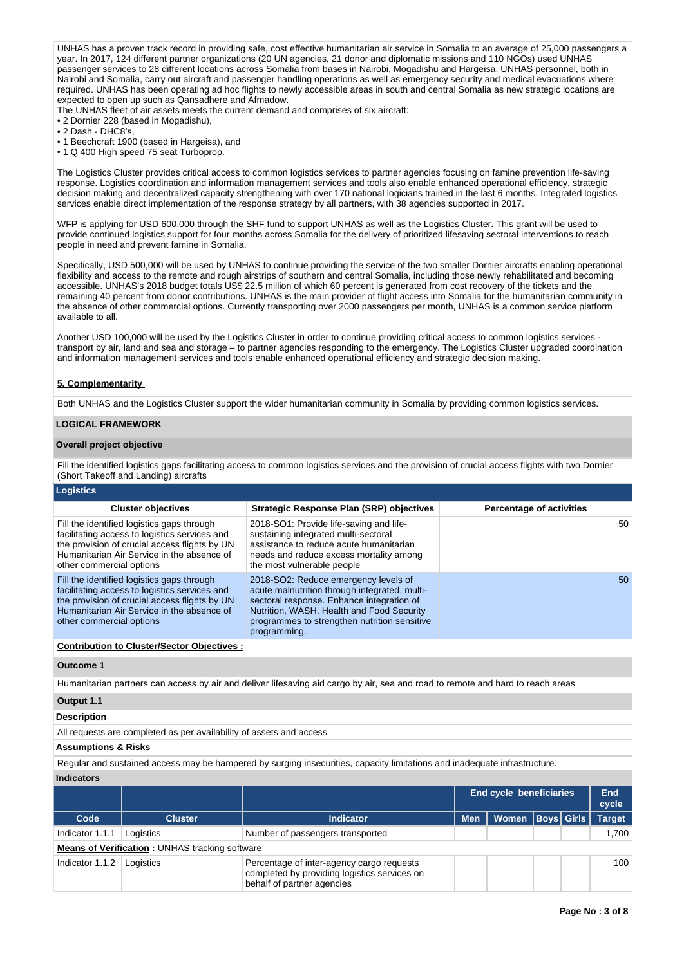UNHAS has a proven track record in providing safe, cost effective humanitarian air service in Somalia to an average of 25,000 passengers a year. In 2017, 124 different partner organizations (20 UN agencies, 21 donor and diplomatic missions and 110 NGOs) used UNHAS passenger services to 28 different locations across Somalia from bases in Nairobi, Mogadishu and Hargeisa. UNHAS personnel, both in Nairobi and Somalia, carry out aircraft and passenger handling operations as well as emergency security and medical evacuations where required. UNHAS has been operating ad hoc flights to newly accessible areas in south and central Somalia as new strategic locations are expected to open up such as Qansadhere and Afmadow.

The UNHAS fleet of air assets meets the current demand and comprises of six aircraft:

- 2 Dornier 228 (based in Mogadishu),
- 2 Dash DHC8's,
- 1 Beechcraft 1900 (based in Hargeisa), and
- 1 Q 400 High speed 75 seat Turboprop.

The Logistics Cluster provides critical access to common logistics services to partner agencies focusing on famine prevention life-saving response. Logistics coordination and information management services and tools also enable enhanced operational efficiency, strategic decision making and decentralized capacity strengthening with over 170 national logicians trained in the last 6 months. Integrated logistics services enable direct implementation of the response strategy by all partners, with 38 agencies supported in 2017.

WFP is applying for USD 600,000 through the SHF fund to support UNHAS as well as the Logistics Cluster. This grant will be used to provide continued logistics support for four months across Somalia for the delivery of prioritized lifesaving sectoral interventions to reach people in need and prevent famine in Somalia.

Specifically, USD 500,000 will be used by UNHAS to continue providing the service of the two smaller Dornier aircrafts enabling operational flexibility and access to the remote and rough airstrips of southern and central Somalia, including those newly rehabilitated and becoming accessible. UNHAS's 2018 budget totals US\$ 22.5 million of which 60 percent is generated from cost recovery of the tickets and the remaining 40 percent from donor contributions. UNHAS is the main provider of flight access into Somalia for the humanitarian community in the absence of other commercial options. Currently transporting over 2000 passengers per month, UNHAS is a common service platform available to all.

Another USD 100,000 will be used by the Logistics Cluster in order to continue providing critical access to common logistics services transport by air, land and sea and storage – to partner agencies responding to the emergency. The Logistics Cluster upgraded coordination and information management services and tools enable enhanced operational efficiency and strategic decision making.

### **5. Complementarity**

Both UNHAS and the Logistics Cluster support the wider humanitarian community in Somalia by providing common logistics services.

### **LOGICAL FRAMEWORK**

#### **Overall project objective**

Fill the identified logistics gaps facilitating access to common logistics services and the provision of crucial access flights with two Dornier (Short Takeoff and Landing) aircrafts

| <b>Logistics</b>                                                                                                                                                                                                       |                                                                                                                                                                                                                                                 |                                 |
|------------------------------------------------------------------------------------------------------------------------------------------------------------------------------------------------------------------------|-------------------------------------------------------------------------------------------------------------------------------------------------------------------------------------------------------------------------------------------------|---------------------------------|
| <b>Cluster objectives</b>                                                                                                                                                                                              | Strategic Response Plan (SRP) objectives                                                                                                                                                                                                        | <b>Percentage of activities</b> |
| Fill the identified logistics gaps through<br>facilitating access to logistics services and<br>the provision of crucial access flights by UN<br>Humanitarian Air Service in the absence of<br>other commercial options | 2018-SO1: Provide life-saving and life-<br>sustaining integrated multi-sectoral<br>assistance to reduce acute humanitarian<br>needs and reduce excess mortality among<br>the most vulnerable people                                             | 50                              |
| Fill the identified logistics gaps through<br>facilitating access to logistics services and<br>the provision of crucial access flights by UN<br>Humanitarian Air Service in the absence of<br>other commercial options | 2018-SO2: Reduce emergency levels of<br>acute malnutrition through integrated, multi-<br>sectoral response. Enhance integration of<br>Nutrition, WASH, Health and Food Security<br>programmes to strengthen nutrition sensitive<br>programming. | 50 <sup>°</sup>                 |
| <b>Contribution to Cluster/Sector Objectives:</b>                                                                                                                                                                      |                                                                                                                                                                                                                                                 |                                 |

#### **Outcome 1**

Humanitarian partners can access by air and deliver lifesaving aid cargo by air, sea and road to remote and hard to reach areas

### **Output 1.1**

#### **Description**

All requests are completed as per availability of assets and access

#### **Assumptions & Risks**

Regular and sustained access may be hampered by surging insecurities, capacity limitations and inadequate infrastructure.

**Indicators**

|                 |                                                       |                                                                                                                         |            | <b>End cycle beneficiaries</b> |  | End<br>cycle  |
|-----------------|-------------------------------------------------------|-------------------------------------------------------------------------------------------------------------------------|------------|--------------------------------|--|---------------|
| Code            | <b>Cluster</b>                                        | <b>Indicator</b>                                                                                                        | <b>Men</b> | Women   Boys   Girls           |  | <b>Target</b> |
| Indicator 1.1.1 | Logistics                                             | Number of passengers transported                                                                                        |            |                                |  | 1.700         |
|                 | <b>Means of Verification: UNHAS tracking software</b> |                                                                                                                         |            |                                |  |               |
| Indicator 1.1.2 | Logistics                                             | Percentage of inter-agency cargo requests<br>completed by providing logistics services on<br>behalf of partner agencies |            |                                |  | 100           |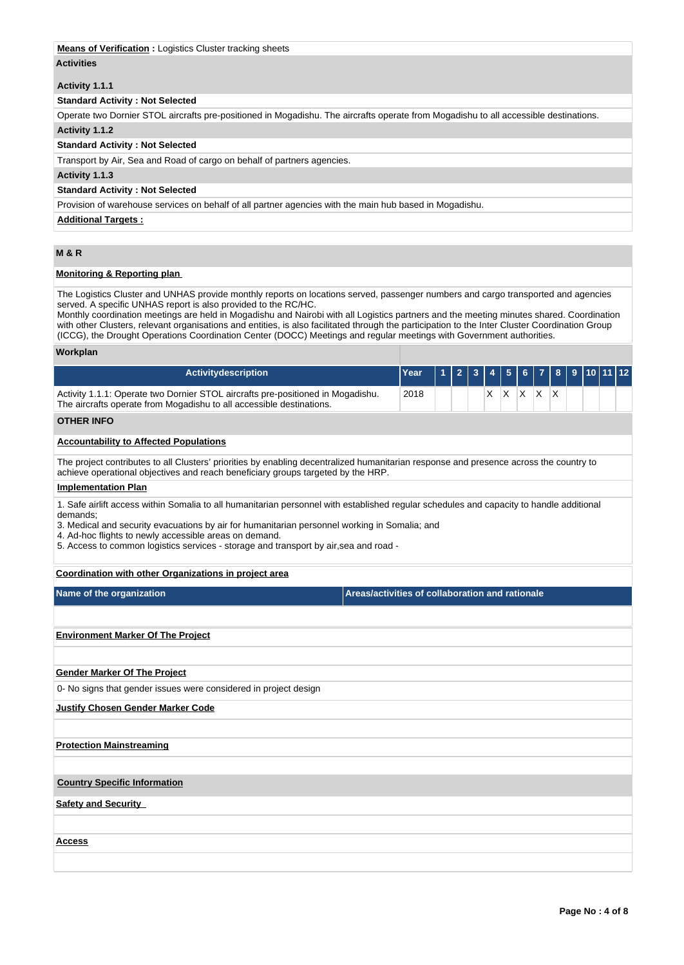### **Means of Verification :** Logistics Cluster tracking sheets

### **Activities**

### **Activity 1.1.1**

## **Standard Activity : Not Selected**

Operate two Dornier STOL aircrafts pre-positioned in Mogadishu. The aircrafts operate from Mogadishu to all accessible destinations.

# **Activity 1.1.2**

## **Standard Activity : Not Selected**

Transport by Air, Sea and Road of cargo on behalf of partners agencies.

### **Activity 1.1.3**

### **Standard Activity : Not Selected**

Provision of warehouse services on behalf of all partner agencies with the main hub based in Mogadishu.

### **Additional Targets :**

## **M & R**

### **Monitoring & Reporting plan**

The Logistics Cluster and UNHAS provide monthly reports on locations served, passenger numbers and cargo transported and agencies served. A specific UNHAS report is also provided to the RC/HC.

Monthly coordination meetings are held in Mogadishu and Nairobi with all Logistics partners and the meeting minutes shared. Coordination with other Clusters, relevant organisations and entities, is also facilitated through the participation to the Inter Cluster Coordination Group (ICCG), the Drought Operations Coordination Center (DOCC) Meetings and regular meetings with Government authorities.

#### **Workplan**

| <b>Activitydescription</b>                                                                                                                              | lYear l |  |   |   | 112344567891011112 |     |  |  |  |
|---------------------------------------------------------------------------------------------------------------------------------------------------------|---------|--|---|---|--------------------|-----|--|--|--|
| Activity 1.1.1: Operate two Dornier STOL aircrafts pre-positioned in Mogadishu.<br>The aircrafts operate from Mogadishu to all accessible destinations. | 2018    |  | х | Х | X.                 | ΙX. |  |  |  |
| <b>OTHER INFO</b>                                                                                                                                       |         |  |   |   |                    |     |  |  |  |
| <b>Accountability to Affected Populations</b>                                                                                                           |         |  |   |   |                    |     |  |  |  |

The project contributes to all Clusters' priorities by enabling decentralized humanitarian response and presence across the country to achieve operational objectives and reach beneficiary groups targeted by the HRP.

#### **Implementation Plan**

1. Safe airlift access within Somalia to all humanitarian personnel with established regular schedules and capacity to handle additional demands;

3. Medical and security evacuations by air for humanitarian personnel working in Somalia; and

4. Ad-hoc flights to newly accessible areas on demand.

5. Access to common logistics services - storage and transport by air,sea and road -

### **Coordination with other Organizations in project area**

| Name of the organization |  |
|--------------------------|--|
|--------------------------|--|

**Areas/activities of collaboration and rationale** 

## **Environment Marker Of The Project**

### **Gender Marker Of The Project**

0- No signs that gender issues were considered in project design

### **Justify Chosen Gender Marker Code**

### **Protection Mainstreaming**

### **Country Specific Information**

**Safety and Security** 

**Access**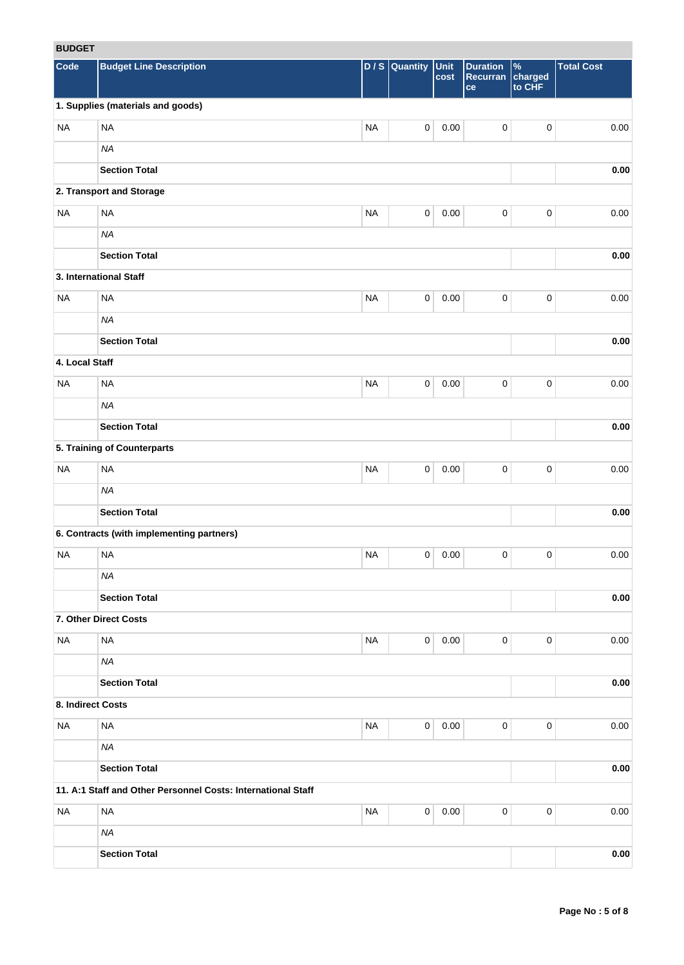# **BUDGET**

| <b>RUDGEI</b>     |                                                              |           |                     |              |                                   |                                    |                   |
|-------------------|--------------------------------------------------------------|-----------|---------------------|--------------|-----------------------------------|------------------------------------|-------------------|
| Code              | <b>Budget Line Description</b>                               |           | $D / S$ Quantity    | Unit<br>cost | <b>Duration</b><br>Recurran<br>ce | $\frac{9}{6}$<br>charged<br>to CHF | <b>Total Cost</b> |
|                   | 1. Supplies (materials and goods)                            |           |                     |              |                                   |                                    |                   |
| <b>NA</b>         | <b>NA</b>                                                    | <b>NA</b> | $\mathsf{O}\xspace$ | 0.00         | $\pmb{0}$                         | $\pmb{0}$                          | 0.00              |
|                   | <b>NA</b>                                                    |           |                     |              |                                   |                                    |                   |
|                   | <b>Section Total</b>                                         |           |                     |              |                                   |                                    | 0.00              |
|                   | 2. Transport and Storage                                     |           |                     |              |                                   |                                    |                   |
| <b>NA</b>         | <b>NA</b>                                                    | <b>NA</b> | $\mathbf 0$         | 0.00         | $\mathbf 0$                       | $\pmb{0}$                          | 0.00              |
|                   | <b>NA</b>                                                    |           |                     |              |                                   |                                    |                   |
|                   | <b>Section Total</b>                                         |           |                     |              |                                   |                                    | 0.00              |
|                   | 3. International Staff                                       |           |                     |              |                                   |                                    |                   |
| <b>NA</b>         | <b>NA</b>                                                    | <b>NA</b> | $\mathbf 0$         | 0.00         | $\mathbf 0$                       | $\pmb{0}$                          | 0.00              |
|                   | <b>NA</b>                                                    |           |                     |              |                                   |                                    |                   |
|                   | <b>Section Total</b>                                         |           |                     |              |                                   |                                    | $0.00\,$          |
| 4. Local Staff    |                                                              |           |                     |              |                                   |                                    |                   |
| <b>NA</b>         | <b>NA</b>                                                    | <b>NA</b> | $\mathbf 0$         | 0.00         | $\pmb{0}$                         | $\pmb{0}$                          | 0.00              |
|                   | <b>NA</b>                                                    |           |                     |              |                                   |                                    |                   |
|                   | <b>Section Total</b>                                         |           |                     |              |                                   |                                    | 0.00              |
|                   | 5. Training of Counterparts                                  |           |                     |              |                                   |                                    |                   |
| <b>NA</b>         | <b>NA</b>                                                    | <b>NA</b> | $\pmb{0}$           | 0.00         | $\pmb{0}$                         | 0                                  | 0.00              |
|                   | <b>NA</b>                                                    |           |                     |              |                                   |                                    |                   |
|                   | <b>Section Total</b>                                         |           |                     |              |                                   |                                    | 0.00              |
|                   | 6. Contracts (with implementing partners)                    |           |                     |              |                                   |                                    |                   |
| <b>NA</b>         | <b>NA</b>                                                    | <b>NA</b> | 0                   | 0.00         | 0                                 | 0                                  | 0.00              |
|                   | <b>NA</b>                                                    |           |                     |              |                                   |                                    |                   |
|                   | <b>Section Total</b>                                         |           |                     |              |                                   |                                    | 0.00              |
|                   | 7. Other Direct Costs                                        |           |                     |              |                                   |                                    |                   |
| <b>NA</b>         | <b>NA</b>                                                    | <b>NA</b> | $\mathbf 0$         | 0.00         | $\mathbf 0$                       | 0                                  | 0.00              |
|                   | NA                                                           |           |                     |              |                                   |                                    |                   |
|                   | <b>Section Total</b>                                         |           |                     |              |                                   |                                    | $0.00\,$          |
| 8. Indirect Costs |                                                              |           |                     |              |                                   |                                    |                   |
| <b>NA</b>         | $\sf NA$                                                     | <b>NA</b> | $\mathbf 0$         | 0.00         | $\mathbf 0$                       | 0                                  | 0.00              |
|                   | <b>NA</b>                                                    |           |                     |              |                                   |                                    |                   |
|                   | <b>Section Total</b>                                         |           |                     |              |                                   |                                    | 0.00              |
|                   | 11. A:1 Staff and Other Personnel Costs: International Staff |           |                     |              |                                   |                                    |                   |
| <b>NA</b>         | <b>NA</b>                                                    | <b>NA</b> | $\mathbf 0$         | 0.00         | $\mathbf 0$                       | 0                                  | 0.00              |
|                   | <b>NA</b>                                                    |           |                     |              |                                   |                                    |                   |
|                   | <b>Section Total</b>                                         |           |                     |              |                                   |                                    | $0.00\,$          |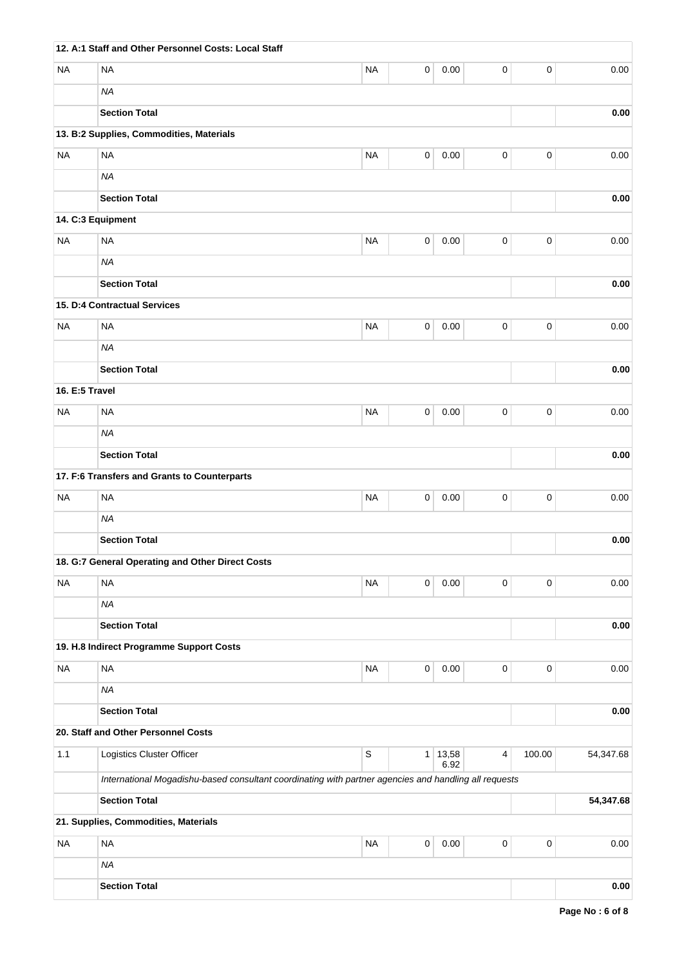|                | 12. A:1 Staff and Other Personnel Costs: Local Staff                                                  |             |                |               |           |             |           |
|----------------|-------------------------------------------------------------------------------------------------------|-------------|----------------|---------------|-----------|-------------|-----------|
| NA             | <b>NA</b>                                                                                             | <b>NA</b>   | 0              | 0.00          | 0         | $\pmb{0}$   | 0.00      |
|                | <b>NA</b>                                                                                             |             |                |               |           |             |           |
|                | <b>Section Total</b>                                                                                  |             |                |               |           |             | 0.00      |
|                | 13. B:2 Supplies, Commodities, Materials                                                              |             |                |               |           |             |           |
| <b>NA</b>      | <b>NA</b>                                                                                             | <b>NA</b>   | 0              | 0.00          | 0         | $\pmb{0}$   | 0.00      |
|                | <b>NA</b>                                                                                             |             |                |               |           |             |           |
|                | <b>Section Total</b>                                                                                  |             |                |               |           |             | 0.00      |
|                | 14. C:3 Equipment                                                                                     |             |                |               |           |             |           |
| <b>NA</b>      | <b>NA</b>                                                                                             | <b>NA</b>   | 0              | 0.00          | 0         | 0           | 0.00      |
|                | <b>NA</b>                                                                                             |             |                |               |           |             |           |
|                | <b>Section Total</b>                                                                                  |             |                |               |           |             | 0.00      |
|                | 15. D:4 Contractual Services                                                                          |             |                |               |           |             |           |
| NA             | <b>NA</b>                                                                                             | <b>NA</b>   | 0              | 0.00          | 0         | 0           | 0.00      |
|                | <b>NA</b>                                                                                             |             |                |               |           |             |           |
|                | <b>Section Total</b>                                                                                  |             |                |               |           |             | 0.00      |
| 16. E:5 Travel |                                                                                                       |             |                |               |           |             |           |
| <b>NA</b>      | <b>NA</b>                                                                                             | <b>NA</b>   | 0              | 0.00          | 0         | 0           | 0.00      |
|                | <b>NA</b>                                                                                             |             |                |               |           |             |           |
|                | <b>Section Total</b>                                                                                  |             |                |               |           |             | 0.00      |
|                | 17. F:6 Transfers and Grants to Counterparts                                                          |             |                |               |           |             |           |
| <b>NA</b>      | <b>NA</b>                                                                                             | <b>NA</b>   | 0              | 0.00          | 0         | $\pmb{0}$   | 0.00      |
|                | <b>NA</b>                                                                                             |             |                |               |           |             |           |
|                | <b>Section Total</b>                                                                                  |             |                |               |           |             | 0.00      |
|                | 18. G:7 General Operating and Other Direct Costs                                                      |             |                |               |           |             |           |
| <b>NA</b>      | <b>NA</b>                                                                                             | <b>NA</b>   | 0              | 0.00          | 0         | 0           | 0.00      |
|                | <b>NA</b>                                                                                             |             |                |               |           |             |           |
|                | <b>Section Total</b>                                                                                  |             |                |               |           |             | 0.00      |
|                | 19. H.8 Indirect Programme Support Costs                                                              |             |                |               |           |             |           |
| <b>NA</b>      | <b>NA</b>                                                                                             | <b>NA</b>   | 0              | 0.00          | $\pmb{0}$ | $\mathbf 0$ | 0.00      |
|                | <b>NA</b>                                                                                             |             |                |               |           |             |           |
|                | <b>Section Total</b>                                                                                  |             |                |               |           |             | 0.00      |
|                | 20. Staff and Other Personnel Costs                                                                   |             |                |               |           |             |           |
| 1.1            | Logistics Cluster Officer                                                                             | $\mathbb S$ | 1 <sup>1</sup> | 13,58<br>6.92 | 4         | 100.00      | 54,347.68 |
|                | International Mogadishu-based consultant coordinating with partner agencies and handling all requests |             |                |               |           |             |           |
|                | <b>Section Total</b>                                                                                  |             |                |               |           |             | 54,347.68 |
|                | 21. Supplies, Commodities, Materials                                                                  |             |                |               |           |             |           |
| <b>NA</b>      | <b>NA</b>                                                                                             | <b>NA</b>   | 0              | $0.00\,$      | 0         | $\pmb{0}$   | 0.00      |
|                | <b>NA</b>                                                                                             |             |                |               |           |             |           |
|                | <b>Section Total</b>                                                                                  |             |                |               |           |             | 0.00      |
|                |                                                                                                       |             |                |               |           |             |           |